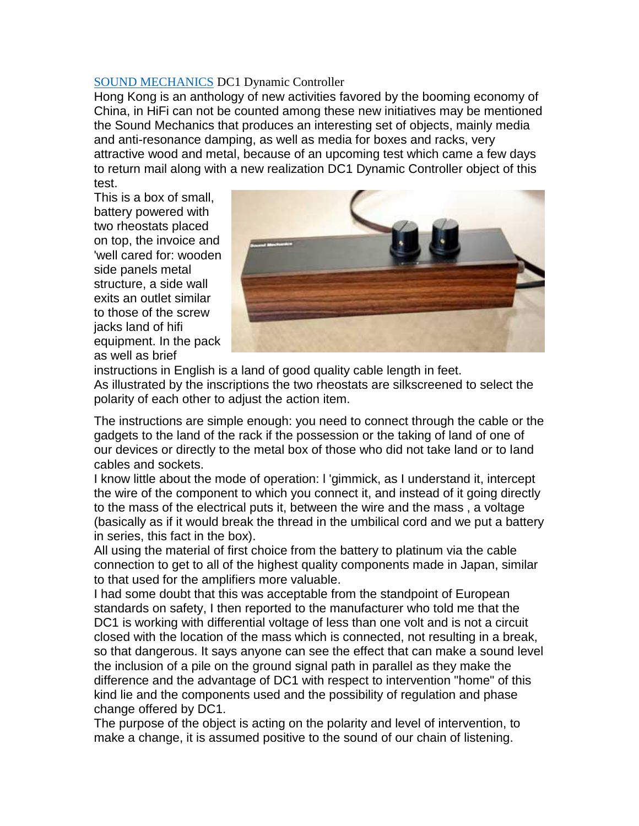## [SOUND MECHANICS](http://www.sound-mechanics.com/) DC1 Dynamic Controller

Hong Kong is an anthology of new activities favored by the booming economy of China, in HiFi can not be counted among these new initiatives may be mentioned the Sound Mechanics that produces an interesting set of objects, mainly media and anti-resonance damping, as well as media for boxes and racks, very attractive wood and metal, because of an upcoming test which came a few days to return mail along with a new realization DC1 Dynamic Controller object of this test.

This is a box of small, battery powered with two rheostats placed on top, the invoice and 'well cared for: wooden side panels metal structure, a side wall exits an outlet similar to those of the screw jacks land of hifi equipment. In the pack as well as brief



instructions in English is a land of good quality cable length in feet. As illustrated by the inscriptions the two rheostats are silkscreened to select the polarity of each other to adjust the action item.

The instructions are simple enough: you need to connect through the cable or the gadgets to the land of the rack if the possession or the taking of land of one of our devices or directly to the metal box of those who did not take land or to land cables and sockets.

I know little about the mode of operation: l 'gimmick, as I understand it, intercept the wire of the component to which you connect it, and instead of it going directly to the mass of the electrical puts it, between the wire and the mass , a voltage (basically as if it would break the thread in the umbilical cord and we put a battery in series, this fact in the box).

All using the material of first choice from the battery to platinum via the cable connection to get to all of the highest quality components made in Japan, similar to that used for the amplifiers more valuable.

I had some doubt that this was acceptable from the standpoint of European standards on safety, I then reported to the manufacturer who told me that the DC1 is working with differential voltage of less than one volt and is not a circuit closed with the location of the mass which is connected, not resulting in a break, so that dangerous. It says anyone can see the effect that can make a sound level the inclusion of a pile on the ground signal path in parallel as they make the difference and the advantage of DC1 with respect to intervention "home" of this kind lie and the components used and the possibility of regulation and phase change offered by DC1.

The purpose of the object is acting on the polarity and level of intervention, to make a change, it is assumed positive to the sound of our chain of listening.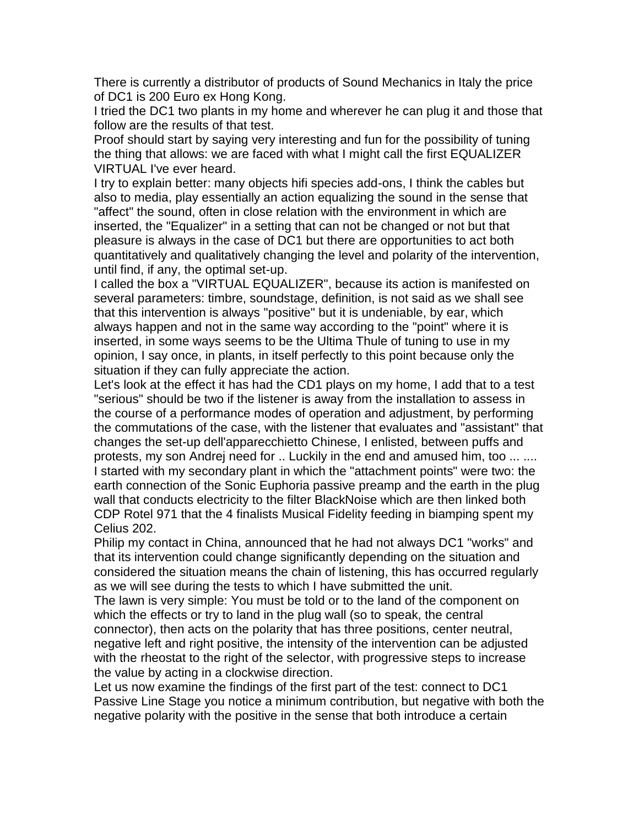There is currently a distributor of products of Sound Mechanics in Italy the price of DC1 is 200 Euro ex Hong Kong.

I tried the DC1 two plants in my home and wherever he can plug it and those that follow are the results of that test.

Proof should start by saying very interesting and fun for the possibility of tuning the thing that allows: we are faced with what I might call the first EQUALIZER VIRTUAL I've ever heard.

I try to explain better: many objects hifi species add-ons, I think the cables but also to media, play essentially an action equalizing the sound in the sense that "affect" the sound, often in close relation with the environment in which are inserted, the "Equalizer" in a setting that can not be changed or not but that pleasure is always in the case of DC1 but there are opportunities to act both quantitatively and qualitatively changing the level and polarity of the intervention, until find, if any, the optimal set-up.

I called the box a "VIRTUAL EQUALIZER", because its action is manifested on several parameters: timbre, soundstage, definition, is not said as we shall see that this intervention is always "positive" but it is undeniable, by ear, which always happen and not in the same way according to the "point" where it is inserted, in some ways seems to be the Ultima Thule of tuning to use in my opinion, I say once, in plants, in itself perfectly to this point because only the situation if they can fully appreciate the action.

Let's look at the effect it has had the CD1 plays on my home, I add that to a test "serious" should be two if the listener is away from the installation to assess in the course of a performance modes of operation and adjustment, by performing the commutations of the case, with the listener that evaluates and "assistant" that changes the set-up dell'apparecchietto Chinese, I enlisted, between puffs and protests, my son Andrej need for .. Luckily in the end and amused him, too ... .... I started with my secondary plant in which the "attachment points" were two: the earth connection of the Sonic Euphoria passive preamp and the earth in the plug wall that conducts electricity to the filter BlackNoise which are then linked both CDP Rotel 971 that the 4 finalists Musical Fidelity feeding in biamping spent my Celius 202.

Philip my contact in China, announced that he had not always DC1 "works" and that its intervention could change significantly depending on the situation and considered the situation means the chain of listening, this has occurred regularly as we will see during the tests to which I have submitted the unit.

The lawn is very simple: You must be told or to the land of the component on which the effects or try to land in the plug wall (so to speak, the central connector), then acts on the polarity that has three positions, center neutral, negative left and right positive, the intensity of the intervention can be adjusted with the rheostat to the right of the selector, with progressive steps to increase the value by acting in a clockwise direction.

Let us now examine the findings of the first part of the test: connect to DC1 Passive Line Stage you notice a minimum contribution, but negative with both the negative polarity with the positive in the sense that both introduce a certain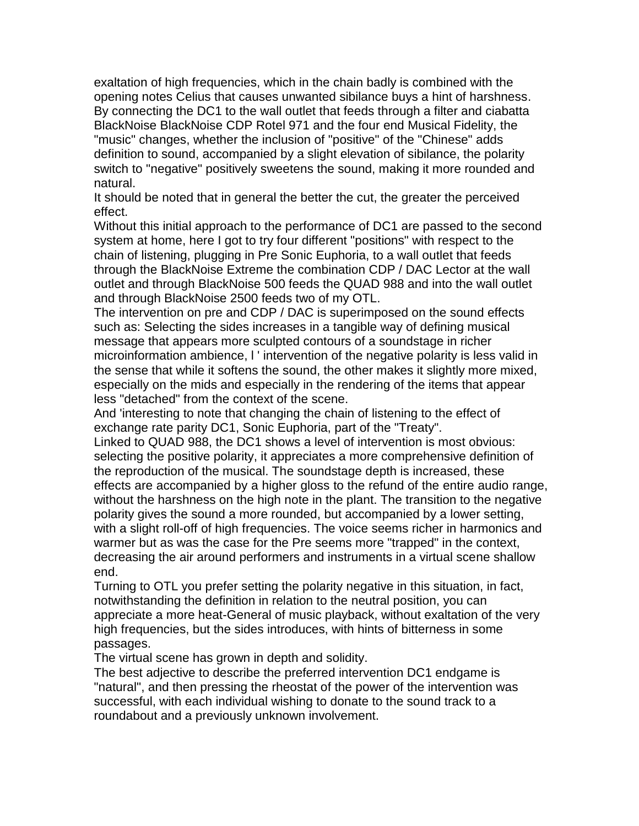exaltation of high frequencies, which in the chain badly is combined with the opening notes Celius that causes unwanted sibilance buys a hint of harshness. By connecting the DC1 to the wall outlet that feeds through a filter and ciabatta BlackNoise BlackNoise CDP Rotel 971 and the four end Musical Fidelity, the "music" changes, whether the inclusion of "positive" of the "Chinese" adds definition to sound, accompanied by a slight elevation of sibilance, the polarity switch to "negative" positively sweetens the sound, making it more rounded and natural.

It should be noted that in general the better the cut, the greater the perceived effect.

Without this initial approach to the performance of DC1 are passed to the second system at home, here I got to try four different "positions" with respect to the chain of listening, plugging in Pre Sonic Euphoria, to a wall outlet that feeds through the BlackNoise Extreme the combination CDP / DAC Lector at the wall outlet and through BlackNoise 500 feeds the QUAD 988 and into the wall outlet and through BlackNoise 2500 feeds two of my OTL.

The intervention on pre and CDP / DAC is superimposed on the sound effects such as: Selecting the sides increases in a tangible way of defining musical message that appears more sculpted contours of a soundstage in richer microinformation ambience, l ' intervention of the negative polarity is less valid in the sense that while it softens the sound, the other makes it slightly more mixed, especially on the mids and especially in the rendering of the items that appear less "detached" from the context of the scene.

And 'interesting to note that changing the chain of listening to the effect of exchange rate parity DC1, Sonic Euphoria, part of the "Treaty".

Linked to QUAD 988, the DC1 shows a level of intervention is most obvious: selecting the positive polarity, it appreciates a more comprehensive definition of the reproduction of the musical. The soundstage depth is increased, these effects are accompanied by a higher gloss to the refund of the entire audio range, without the harshness on the high note in the plant. The transition to the negative polarity gives the sound a more rounded, but accompanied by a lower setting, with a slight roll-off of high frequencies. The voice seems richer in harmonics and warmer but as was the case for the Pre seems more "trapped" in the context, decreasing the air around performers and instruments in a virtual scene shallow end.

Turning to OTL you prefer setting the polarity negative in this situation, in fact, notwithstanding the definition in relation to the neutral position, you can appreciate a more heat-General of music playback, without exaltation of the very high frequencies, but the sides introduces, with hints of bitterness in some passages.

The virtual scene has grown in depth and solidity.

The best adjective to describe the preferred intervention DC1 endgame is "natural", and then pressing the rheostat of the power of the intervention was successful, with each individual wishing to donate to the sound track to a roundabout and a previously unknown involvement.